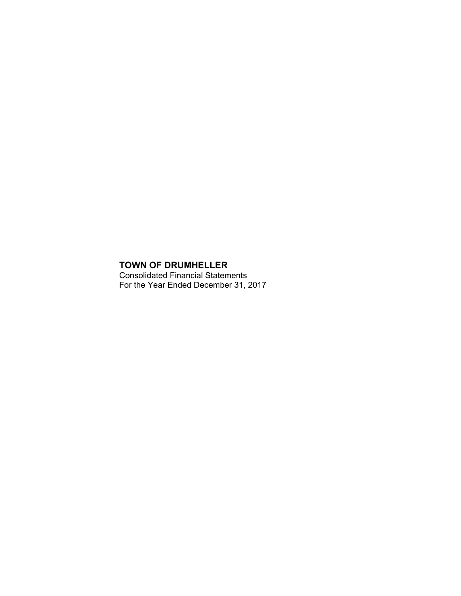Consolidated Financial Statements For the Year Ended December 31, 2017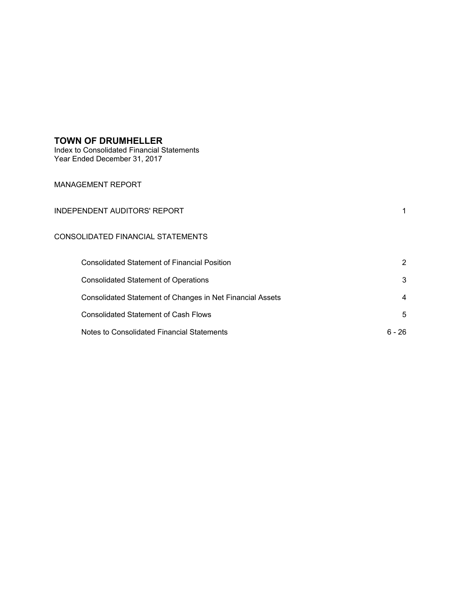Index to Consolidated Financial Statements Year Ended December 31, 2017

## MANAGEMENT REPORT

## CONSOLIDATED FINANCIAL STATEMENTS

| <b>Consolidated Statement of Financial Position</b>       |                |
|-----------------------------------------------------------|----------------|
| <b>Consolidated Statement of Operations</b>               | 3              |
| Consolidated Statement of Changes in Net Financial Assets | $\overline{4}$ |
| <b>Consolidated Statement of Cash Flows</b>               | -5             |
| Notes to Consolidated Financial Statements                | 6 - 26         |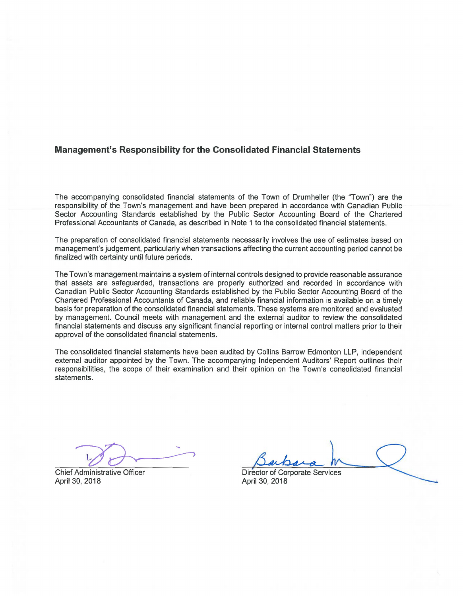## **Management's Responsibility for the Consolidated Financial Statements**

The accompanying consolidated financial statements of the Town of Drumheller (the "Town") are the responsibility of the Town's management and have been prepared in accordance with Canadian Public Sector Accounting Standards established by the Public Sector Accounting Board of the Chartered Professional Accountants of Canada, as described in Note 1 to the consolidated financial statements.

The preparation of consolidated financial statements necessarily involves the use of estimates based on management's judgement, particularly when transactions affecting the current accounting period cannot be finalized with certainty until future periods.

The Town's management maintains a system of internal controls designed to provide reasonable assurance that assets are safeguarded, transactions are properly authorized and recorded in accordance with Canadian Public Sector Accounting Standards established by the Public Sector Accounting Board of the Chartered Professional Accountants of Canada, and reliable financial information is available on a timely basis for preparation of the consolidated financial statements. These systems are monitored and evaluated by management. Council meets with management and the external auditor to review the consolidated financial statements and discuss any significant financial reporting or internal control matters prior to their approval of the consolidated financial statements.

The consolidated financial statements have been audited by Collins Barrow Edmonton LLP, independent external auditor appointed by the Town. The accompanying Independent Auditors' Report outlines their responsibilities, the scope of their examination and their opinion on the Town's consolidated financial statements.

Chief Administrative Officer April 30, 2018

Director of Corporate Services April 30, 2018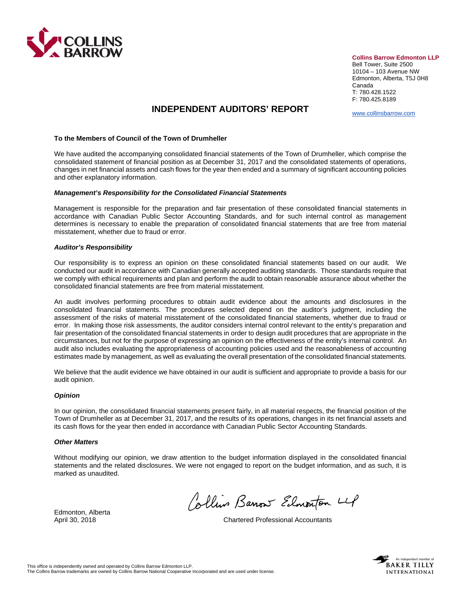

**Collins Barrow Edmonton LLP** 

Bell Tower, Suite 2500 10104 – 103 Avenue NW Edmonton, Alberta, T5J 0H8 Canada T: 780.428.1522 F: 780.425.8189

www.collinsbarrow.com

## **INDEPENDENT AUDITORS' REPORT**

#### **To the Members of Council of the Town of Drumheller**

We have audited the accompanying consolidated financial statements of the Town of Drumheller, which comprise the consolidated statement of financial position as at December 31, 2017 and the consolidated statements of operations, changes in net financial assets and cash flows for the year then ended and a summary of significant accounting policies and other explanatory information.

#### *Management's Responsibility for the Consolidated Financial Statements*

Management is responsible for the preparation and fair presentation of these consolidated financial statements in accordance with Canadian Public Sector Accounting Standards, and for such internal control as management determines is necessary to enable the preparation of consolidated financial statements that are free from material misstatement, whether due to fraud or error.

#### *Auditor's Responsibility*

Our responsibility is to express an opinion on these consolidated financial statements based on our audit. We conducted our audit in accordance with Canadian generally accepted auditing standards. Those standards require that we comply with ethical requirements and plan and perform the audit to obtain reasonable assurance about whether the consolidated financial statements are free from material misstatement.

An audit involves performing procedures to obtain audit evidence about the amounts and disclosures in the consolidated financial statements. The procedures selected depend on the auditor's judgment, including the assessment of the risks of material misstatement of the consolidated financial statements, whether due to fraud or error. In making those risk assessments, the auditor considers internal control relevant to the entity's preparation and fair presentation of the consolidated financial statements in order to design audit procedures that are appropriate in the circumstances, but not for the purpose of expressing an opinion on the effectiveness of the entity's internal control. An audit also includes evaluating the appropriateness of accounting policies used and the reasonableness of accounting estimates made by management, as well as evaluating the overall presentation of the consolidated financial statements.

We believe that the audit evidence we have obtained in our audit is sufficient and appropriate to provide a basis for our audit opinion.

#### *Opinion*

In our opinion, the consolidated financial statements present fairly, in all material respects, the financial position of the Town of Drumheller as at December 31, 2017, and the results of its operations, changes in its net financial assets and its cash flows for the year then ended in accordance with Canadian Public Sector Accounting Standards.

#### *Other Matters*

Without modifying our opinion, we draw attention to the budget information displayed in the consolidated financial statements and the related disclosures. We were not engaged to report on the budget information, and as such, it is marked as unaudited.

Collins Barrow Edmonton 4

April 30, 2018 Chartered Professional Accountants



Edmonton, Alberta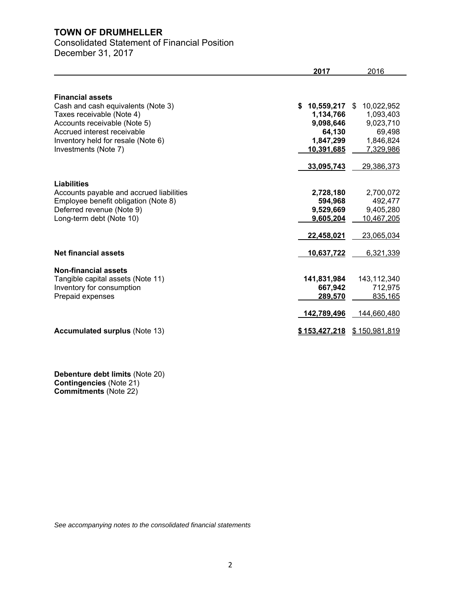# Consolidated Statement of Financial Position

December 31, 2017

|                                          | 2017             | 2016             |
|------------------------------------------|------------------|------------------|
|                                          |                  |                  |
| <b>Financial assets</b>                  |                  |                  |
| Cash and cash equivalents (Note 3)       | 10,559,217<br>S. | 10,022,952<br>\$ |
| Taxes receivable (Note 4)                | 1,134,766        | 1,093,403        |
| Accounts receivable (Note 5)             | 9,098,646        | 9,023,710        |
| Accrued interest receivable              | 64,130           | 69,498           |
| Inventory held for resale (Note 6)       | 1,847,299        | 1,846,824        |
| Investments (Note 7)                     | 10,391,685       | 7,329,986        |
|                                          | 33,095,743       | 29,386,373       |
| Liabilities                              |                  |                  |
| Accounts payable and accrued liabilities | 2,728,180        | 2,700,072        |
| Employee benefit obligation (Note 8)     | 594,968          | 492,477          |
| Deferred revenue (Note 9)                | 9,529,669        | 9,405,280        |
| Long-term debt (Note 10)                 | 9,605,204        | 10,467,205       |
|                                          | 22,458,021       | 23,065,034       |
| <b>Net financial assets</b>              | 10,637,722       | 6,321,339        |
| Non-financial assets                     |                  |                  |
| Tangible capital assets (Note 11)        | 141,831,984      | 143,112,340      |
| Inventory for consumption                | 667,942          | 712,975          |
| Prepaid expenses                         | 289,570          | 835,165          |
|                                          | 142,789,496      | 144,660,480      |
| <b>Accumulated surplus (Note 13)</b>     | \$153,427,218    | \$150,981,819    |

**Debenture debt limits** (Note 20) **Contingencies** (Note 21) **Commitments** (Note 22)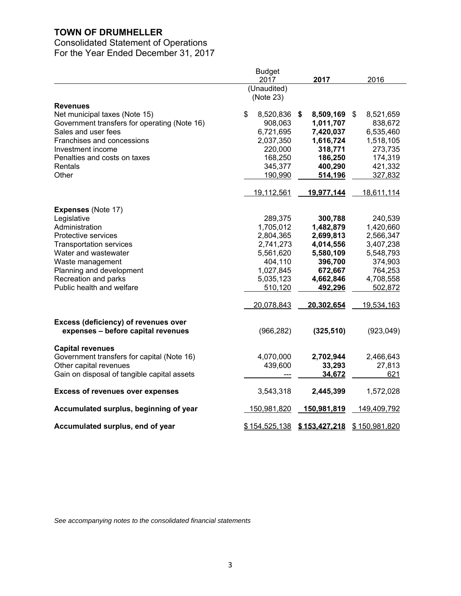# Consolidated Statement of Operations

For the Year Ended December 31, 2017

|                                              | <b>Budget</b>      |                    |                    |
|----------------------------------------------|--------------------|--------------------|--------------------|
|                                              | 2017               | 2017               | 2016               |
|                                              | (Unaudited)        |                    |                    |
|                                              | (Note 23)          |                    |                    |
| <b>Revenues</b>                              |                    |                    |                    |
| Net municipal taxes (Note 15)                | \$<br>8,520,836    | \$<br>8,509,169    | \$<br>8,521,659    |
| Government transfers for operating (Note 16) | 908,063            | 1,011,707          | 838,672            |
| Sales and user fees                          | 6,721,695          | 7,420,037          | 6,535,460          |
| Franchises and concessions                   | 2,037,350          | 1,616,724          | 1,518,105          |
| Investment income                            | 220,000            | 318,771            | 273,735            |
| Penalties and costs on taxes                 | 168,250            | 186,250            | 174,319            |
| <b>Rentals</b>                               | 345,377            | 400,290            | 421,332            |
| Other                                        | 190,990            | 514,196            | 327,832            |
|                                              | 19,112,561         | 19,977,144         | 18,611,114         |
|                                              |                    |                    |                    |
| <b>Expenses (Note 17)</b>                    |                    |                    |                    |
| Legislative                                  | 289,375            | 300,788            | 240,539            |
| Administration                               | 1,705,012          | 1,482,879          | 1,420,660          |
| Protective services                          | 2,804,365          | 2,699,813          | 2,566,347          |
| <b>Transportation services</b>               | 2,741,273          | 4,014,556          | 3,407,238          |
| Water and wastewater                         | 5,561,620          | 5,580,109          | 5,548,793          |
| Waste management                             | 404,110            | 396,700            | 374,903            |
| Planning and development                     | 1,027,845          | 672,667            | 764,253            |
| Recreation and parks                         | 5,035,123          | 4,662,846          | 4,708,558          |
| Public health and welfare                    | 510,120            | 492,296            | 502,872            |
|                                              |                    |                    |                    |
|                                              | 20,078,843         | 20,302,654         | 19,534,163         |
| <b>Excess (deficiency) of revenues over</b>  |                    |                    |                    |
| expenses - before capital revenues           | (966, 282)         | (325, 510)         | (923, 049)         |
|                                              |                    |                    |                    |
| <b>Capital revenues</b>                      |                    |                    |                    |
| Government transfers for capital (Note 16)   | 4,070,000          | 2,702,944          | 2,466,643          |
| Other capital revenues                       | 439,600            | 33,293             | 27,813             |
| Gain on disposal of tangible capital assets  |                    | 34,672             | 621                |
| <b>Excess of revenues over expenses</b>      | 3,543,318          | 2,445,399          | 1,572,028          |
| Accumulated surplus, beginning of year       | <u>150,981,820</u> | <u>150,981,819</u> | <u>149,409,792</u> |
| Accumulated surplus, end of year             | \$154,525,138      | \$153,427,218      | \$150,981,820      |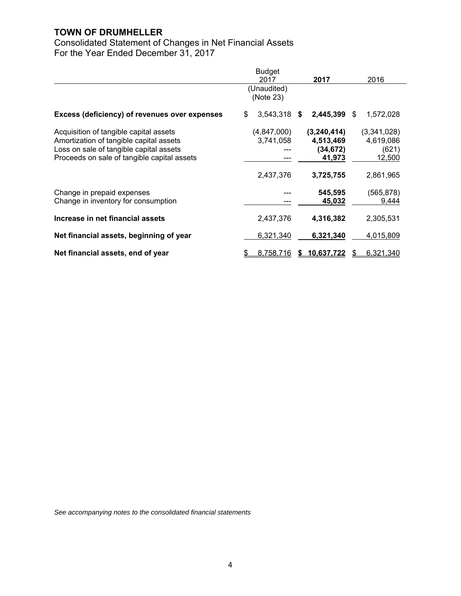Consolidated Statement of Changes in Net Financial Assets For the Year Ended December 31, 2017

|                                                                                                                                                                             | <b>Budget</b><br>2017    | 2017                                            | 2016                                        |
|-----------------------------------------------------------------------------------------------------------------------------------------------------------------------------|--------------------------|-------------------------------------------------|---------------------------------------------|
|                                                                                                                                                                             | (Unaudited)<br>(Note 23) |                                                 |                                             |
| <b>Excess (deficiency) of revenues over expenses</b>                                                                                                                        | 3,543,318<br>\$          | \$<br>2,445,399                                 | \$<br>1,572,028                             |
| Acquisition of tangible capital assets<br>Amortization of tangible capital assets<br>Loss on sale of tangible capital assets<br>Proceeds on sale of tangible capital assets | (4,847,000)<br>3,741,058 | (3,240,414)<br>4,513,469<br>(34, 672)<br>41,973 | (3,341,028)<br>4,619,086<br>(621)<br>12,500 |
|                                                                                                                                                                             | 2,437,376                | 3,725,755                                       | 2,861,965                                   |
| Change in prepaid expenses<br>Change in inventory for consumption                                                                                                           |                          | 545,595<br>45,032                               | (565, 878)<br>9,444                         |
| Increase in net financial assets                                                                                                                                            | 2,437,376                | 4,316,382                                       | 2,305,531                                   |
| Net financial assets, beginning of year                                                                                                                                     | 6,321,340                | 6,321,340                                       | 4,015,809                                   |
| Net financial assets, end of year                                                                                                                                           | <u>8,758,716</u>         | \$10.637.722                                    | 6,321,340                                   |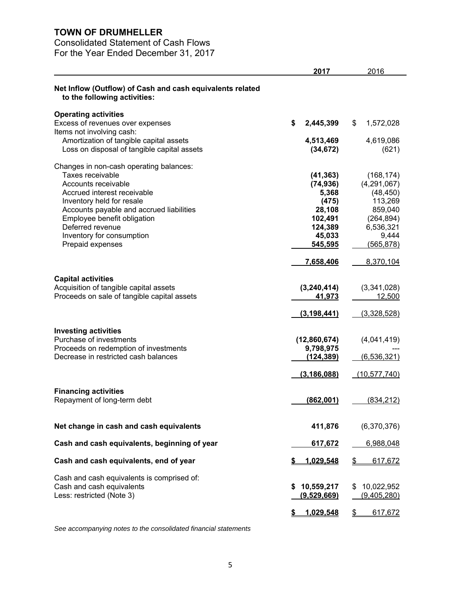# Consolidated Statement of Cash Flows

For the Year Ended December 31, 2017

|                                                                                                                                                                                                                                                                                                | 2017                                                                                          | 2016                                                                                                           |
|------------------------------------------------------------------------------------------------------------------------------------------------------------------------------------------------------------------------------------------------------------------------------------------------|-----------------------------------------------------------------------------------------------|----------------------------------------------------------------------------------------------------------------|
| Net Inflow (Outflow) of Cash and cash equivalents related<br>to the following activities:                                                                                                                                                                                                      |                                                                                               |                                                                                                                |
| <b>Operating activities</b><br>Excess of revenues over expenses<br>Items not involving cash:                                                                                                                                                                                                   | \$<br>2,445,399                                                                               | 1,572,028<br>\$                                                                                                |
| Amortization of tangible capital assets<br>Loss on disposal of tangible capital assets                                                                                                                                                                                                         | 4,513,469<br>(34, 672)                                                                        | 4,619,086<br>(621)                                                                                             |
| Changes in non-cash operating balances:<br>Taxes receivable<br>Accounts receivable<br>Accrued interest receivable<br>Inventory held for resale<br>Accounts payable and accrued liabilities<br>Employee benefit obligation<br>Deferred revenue<br>Inventory for consumption<br>Prepaid expenses | (41, 363)<br>(74, 936)<br>5,368<br>(475)<br>28,108<br>102,491<br>124,389<br>45,033<br>545,595 | (168, 174)<br>(4,291,067)<br>(48, 450)<br>113,269<br>859,040<br>(264, 894)<br>6,536,321<br>9,444<br>(565, 878) |
| <b>Capital activities</b><br>Acquisition of tangible capital assets<br>Proceeds on sale of tangible capital assets                                                                                                                                                                             | 7,658,406<br>(3,240,414)<br>41,973                                                            | 8,370,104<br>(3,341,028)<br>12,500                                                                             |
| <b>Investing activities</b><br>Purchase of investments<br>Proceeds on redemption of investments<br>Decrease in restricted cash balances                                                                                                                                                        | (3, 198, 441)<br>(12,860,674)<br>9,798,975<br>(124, 389)                                      | (3,328,528)<br>(4,041,419)<br>(6, 536, 321)                                                                    |
| <b>Financing activities</b><br>Repayment of long-term debt                                                                                                                                                                                                                                     | (3, 186, 088)<br>(862,001)                                                                    | (10, 577, 740)<br>(834, 212)                                                                                   |
| Net change in cash and cash equivalents                                                                                                                                                                                                                                                        | 411,876                                                                                       | (6,370,376)                                                                                                    |
| Cash and cash equivalents, beginning of year                                                                                                                                                                                                                                                   | 617,672                                                                                       | 6,988,048                                                                                                      |
| Cash and cash equivalents, end of year                                                                                                                                                                                                                                                         | 1,029,548                                                                                     | \$<br>617,672                                                                                                  |
| Cash and cash equivalents is comprised of:<br>Cash and cash equivalents<br>Less: restricted (Note 3)                                                                                                                                                                                           | 10,559,217<br>(9,529,669)                                                                     | 10,022,952<br>S<br>(9,405,280)                                                                                 |
|                                                                                                                                                                                                                                                                                                | 1,029,548<br>S                                                                                | \$<br>617,672                                                                                                  |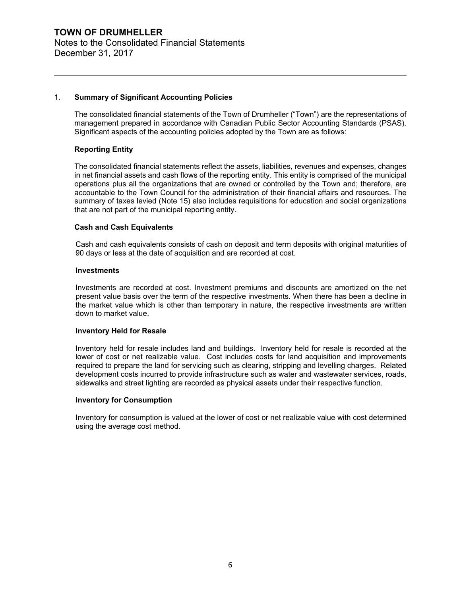## 1. **Summary of Significant Accounting Policies**

The consolidated financial statements of the Town of Drumheller ("Town") are the representations of management prepared in accordance with Canadian Public Sector Accounting Standards (PSAS). Significant aspects of the accounting policies adopted by the Town are as follows:

## **Reporting Entity**

The consolidated financial statements reflect the assets, liabilities, revenues and expenses, changes in net financial assets and cash flows of the reporting entity. This entity is comprised of the municipal operations plus all the organizations that are owned or controlled by the Town and; therefore, are accountable to the Town Council for the administration of their financial affairs and resources. The summary of taxes levied (Note 15) also includes requisitions for education and social organizations that are not part of the municipal reporting entity.

## **Cash and Cash Equivalents**

Cash and cash equivalents consists of cash on deposit and term deposits with original maturities of 90 days or less at the date of acquisition and are recorded at cost.

## **Investments**

Investments are recorded at cost. Investment premiums and discounts are amortized on the net present value basis over the term of the respective investments. When there has been a decline in the market value which is other than temporary in nature, the respective investments are written down to market value.

## **Inventory Held for Resale**

Inventory held for resale includes land and buildings. Inventory held for resale is recorded at the lower of cost or net realizable value. Cost includes costs for land acquisition and improvements required to prepare the land for servicing such as clearing, stripping and levelling charges. Related development costs incurred to provide infrastructure such as water and wastewater services, roads, sidewalks and street lighting are recorded as physical assets under their respective function.

## **Inventory for Consumption**

Inventory for consumption is valued at the lower of cost or net realizable value with cost determined using the average cost method.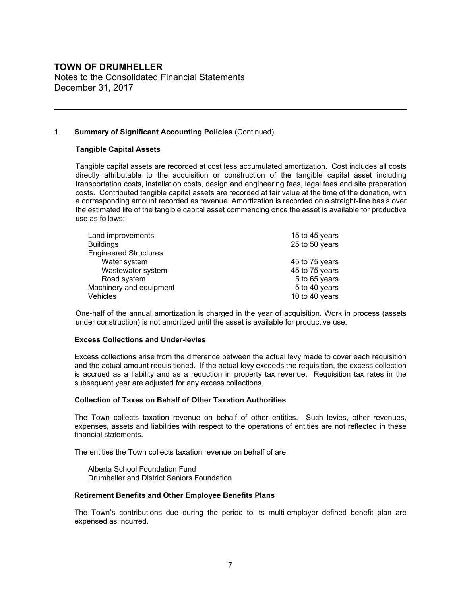Notes to the Consolidated Financial Statements December 31, 2017

## 1. **Summary of Significant Accounting Policies** (Continued)

## **Tangible Capital Assets**

Tangible capital assets are recorded at cost less accumulated amortization. Cost includes all costs directly attributable to the acquisition or construction of the tangible capital asset including transportation costs, installation costs, design and engineering fees, legal fees and site preparation costs. Contributed tangible capital assets are recorded at fair value at the time of the donation, with a corresponding amount recorded as revenue. Amortization is recorded on a straight-line basis over the estimated life of the tangible capital asset commencing once the asset is available for productive use as follows:

| 15 to 45 years |
|----------------|
| 25 to 50 years |
|                |
| 45 to 75 years |
| 45 to 75 years |
| 5 to 65 years  |
| 5 to 40 years  |
| 10 to 40 years |
|                |

One-half of the annual amortization is charged in the year of acquisition. Work in process (assets under construction) is not amortized until the asset is available for productive use.

## **Excess Collections and Under-levies**

Excess collections arise from the difference between the actual levy made to cover each requisition and the actual amount requisitioned. If the actual levy exceeds the requisition, the excess collection is accrued as a liability and as a reduction in property tax revenue. Requisition tax rates in the subsequent year are adjusted for any excess collections.

## **Collection of Taxes on Behalf of Other Taxation Authorities**

The Town collects taxation revenue on behalf of other entities. Such levies, other revenues, expenses, assets and liabilities with respect to the operations of entities are not reflected in these financial statements.

The entities the Town collects taxation revenue on behalf of are:

 Alberta School Foundation Fund Drumheller and District Seniors Foundation

## **Retirement Benefits and Other Employee Benefits Plans**

The Town's contributions due during the period to its multi-employer defined benefit plan are expensed as incurred.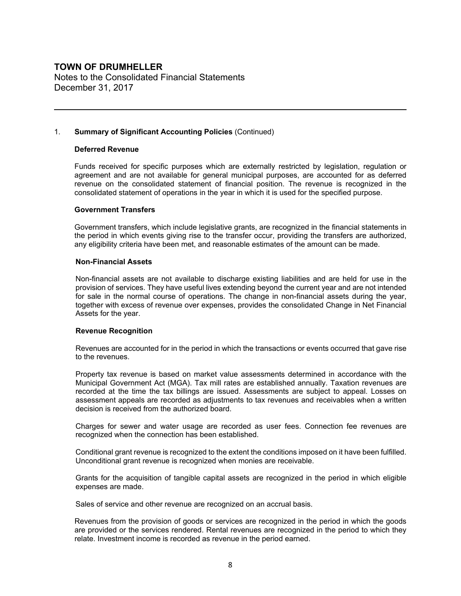Notes to the Consolidated Financial Statements December 31, 2017

## 1. **Summary of Significant Accounting Policies** (Continued)

## **Deferred Revenue**

Funds received for specific purposes which are externally restricted by legislation, regulation or agreement and are not available for general municipal purposes, are accounted for as deferred revenue on the consolidated statement of financial position. The revenue is recognized in the consolidated statement of operations in the year in which it is used for the specified purpose.

## **Government Transfers**

Government transfers, which include legislative grants, are recognized in the financial statements in the period in which events giving rise to the transfer occur, providing the transfers are authorized, any eligibility criteria have been met, and reasonable estimates of the amount can be made.

#### **Non-Financial Assets**

Non-financial assets are not available to discharge existing liabilities and are held for use in the provision of services. They have useful lives extending beyond the current year and are not intended for sale in the normal course of operations. The change in non-financial assets during the year, together with excess of revenue over expenses, provides the consolidated Change in Net Financial Assets for the year.

## **Revenue Recognition**

Revenues are accounted for in the period in which the transactions or events occurred that gave rise to the revenues.

Property tax revenue is based on market value assessments determined in accordance with the Municipal Government Act (MGA). Tax mill rates are established annually. Taxation revenues are recorded at the time the tax billings are issued. Assessments are subject to appeal. Losses on assessment appeals are recorded as adjustments to tax revenues and receivables when a written decision is received from the authorized board.

Charges for sewer and water usage are recorded as user fees. Connection fee revenues are recognized when the connection has been established.

Conditional grant revenue is recognized to the extent the conditions imposed on it have been fulfilled. Unconditional grant revenue is recognized when monies are receivable.

Grants for the acquisition of tangible capital assets are recognized in the period in which eligible expenses are made.

Sales of service and other revenue are recognized on an accrual basis.

Revenues from the provision of goods or services are recognized in the period in which the goods are provided or the services rendered. Rental revenues are recognized in the period to which they relate. Investment income is recorded as revenue in the period earned.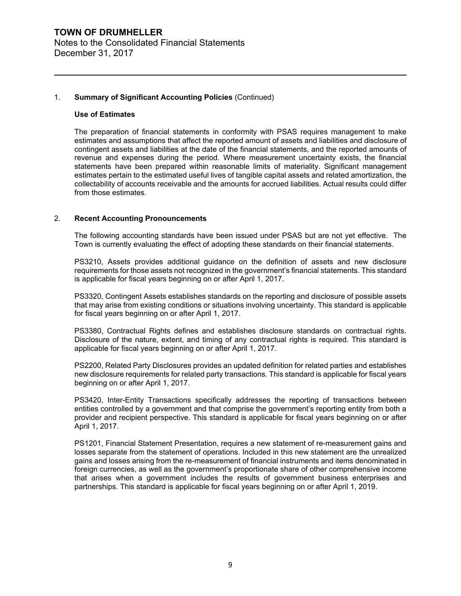## **TOWN OF DRUMHELLER** Notes to the Consolidated Financial Statements December 31, 2017

## 1. **Summary of Significant Accounting Policies** (Continued)

#### **Use of Estimates**

The preparation of financial statements in conformity with PSAS requires management to make estimates and assumptions that affect the reported amount of assets and liabilities and disclosure of contingent assets and liabilities at the date of the financial statements, and the reported amounts of revenue and expenses during the period. Where measurement uncertainty exists, the financial statements have been prepared within reasonable limits of materiality. Significant management estimates pertain to the estimated useful lives of tangible capital assets and related amortization, the collectability of accounts receivable and the amounts for accrued liabilities. Actual results could differ from those estimates.

## 2. **Recent Accounting Pronouncements**

The following accounting standards have been issued under PSAS but are not yet effective. The Town is currently evaluating the effect of adopting these standards on their financial statements.

PS3210, Assets provides additional guidance on the definition of assets and new disclosure requirements for those assets not recognized in the government's financial statements. This standard is applicable for fiscal years beginning on or after April 1, 2017.

PS3320, Contingent Assets establishes standards on the reporting and disclosure of possible assets that may arise from existing conditions or situations involving uncertainty. This standard is applicable for fiscal years beginning on or after April 1, 2017.

PS3380, Contractual Rights defines and establishes disclosure standards on contractual rights. Disclosure of the nature, extent, and timing of any contractual rights is required. This standard is applicable for fiscal years beginning on or after April 1, 2017.

PS2200, Related Party Disclosures provides an updated definition for related parties and establishes new disclosure requirements for related party transactions. This standard is applicable for fiscal years beginning on or after April 1, 2017.

PS3420, Inter-Entity Transactions specifically addresses the reporting of transactions between entities controlled by a government and that comprise the government's reporting entity from both a provider and recipient perspective. This standard is applicable for fiscal years beginning on or after April 1, 2017.

PS1201, Financial Statement Presentation, requires a new statement of re-measurement gains and losses separate from the statement of operations. Included in this new statement are the unrealized gains and losses arising from the re-measurement of financial instruments and items denominated in foreign currencies, as well as the government's proportionate share of other comprehensive income that arises when a government includes the results of government business enterprises and partnerships. This standard is applicable for fiscal years beginning on or after April 1, 2019.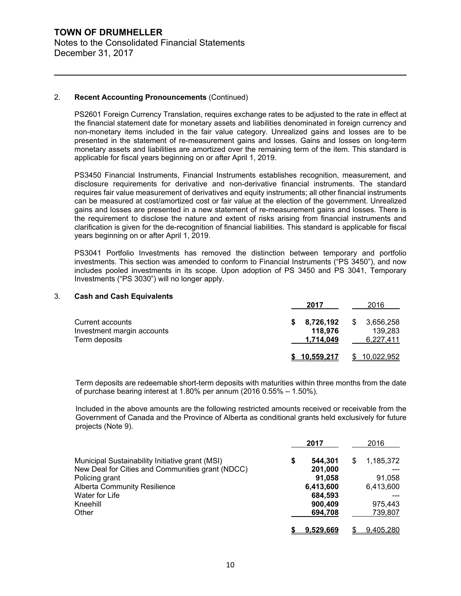## 2. **Recent Accounting Pronouncements** (Continued)

PS2601 Foreign Currency Translation, requires exchange rates to be adjusted to the rate in effect at the financial statement date for monetary assets and liabilities denominated in foreign currency and non-monetary items included in the fair value category. Unrealized gains and losses are to be presented in the statement of re-measurement gains and losses. Gains and losses on long-term monetary assets and liabilities are amortized over the remaining term of the item. This standard is applicable for fiscal years beginning on or after April 1, 2019.

PS3450 Financial Instruments, Financial Instruments establishes recognition, measurement, and disclosure requirements for derivative and non-derivative financial instruments. The standard requires fair value measurement of derivatives and equity instruments; all other financial instruments can be measured at cost/amortized cost or fair value at the election of the government. Unrealized gains and losses are presented in a new statement of re-measurement gains and losses. There is the requirement to disclose the nature and extent of risks arising from financial instruments and clarification is given for the de-recognition of financial liabilities. This standard is applicable for fiscal years beginning on or after April 1, 2019.

PS3041 Portfolio Investments has removed the distinction between temporary and portfolio investments. This section was amended to conform to Financial Instruments ("PS 3450"), and now includes pooled investments in its scope. Upon adoption of PS 3450 and PS 3041, Temporary Investments ("PS 3030") will no longer apply.

#### 3. **Cash and Cash Equivalents**

|                                                                 | 2017                                    | 2016                                    |
|-----------------------------------------------------------------|-----------------------------------------|-----------------------------------------|
| Current accounts<br>Investment margin accounts<br>Term deposits | 8,726,192<br>S.<br>118.976<br>1,714,049 | \$<br>3,656,258<br>139,283<br>6,227,411 |
|                                                                 | \$10.559.217                            | <u> 10.022.952</u>                      |

Term deposits are redeemable short-term deposits with maturities within three months from the date of purchase bearing interest at 1.80% per annum (2016 0.55% – 1.50%).

Included in the above amounts are the following restricted amounts received or receivable from the Government of Canada and the Province of Alberta as conditional grants held exclusively for future projects (Note 9).

|                                                  | 2017             |   | 2016      |
|--------------------------------------------------|------------------|---|-----------|
| Municipal Sustainability Initiative grant (MSI)  | \$<br>544.301    | S | 1,185,372 |
| New Deal for Cities and Communities grant (NDCC) | 201,000          |   |           |
| Policing grant                                   | 91.058           |   | 91,058    |
| <b>Alberta Community Resilience</b>              | 6,413,600        |   | 6,413,600 |
| Water for Life                                   | 684,593          |   |           |
| Kneehill                                         | 900,409          |   | 975,443   |
| Other                                            | 694,708          |   | 739,807   |
|                                                  | <u>9.529.669</u> |   | 9.405.280 |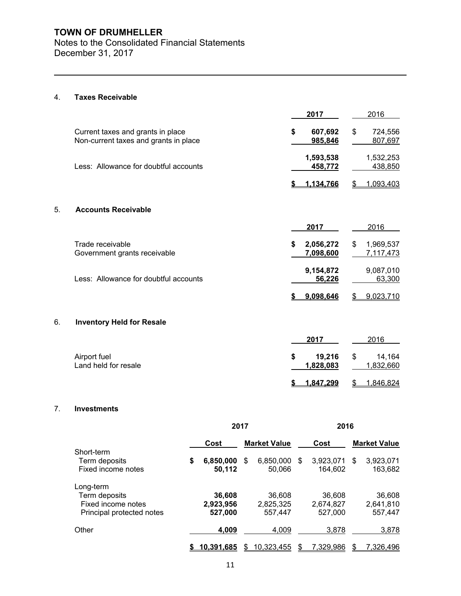Notes to the Consolidated Financial Statements December 31, 2017

## 4. **Taxes Receivable**

|    |                                                                            | 2017                         | 2016                         |
|----|----------------------------------------------------------------------------|------------------------------|------------------------------|
|    | Current taxes and grants in place<br>Non-current taxes and grants in place | 607,692<br>\$<br>985,846     | \$<br>724,556<br>807,697     |
|    | Less: Allowance for doubtful accounts                                      | 1,593,538<br>458,772         | 1,532,253<br>438,850         |
|    |                                                                            | 1,134,766<br>\$              | 1,093,403<br>\$              |
| 5. | <b>Accounts Receivable</b>                                                 |                              |                              |
|    |                                                                            | 2017                         | 2016                         |
|    | Trade receivable<br>Government grants receivable                           | \$<br>2,056,272<br>7,098,600 | \$<br>1,969,537<br>7,117,473 |
|    | Less: Allowance for doubtful accounts                                      | 9,154,872<br>56,226          | 9,087,010<br>63,300          |
|    |                                                                            | 9,098,646<br>5               | 9,023,710<br>\$              |
| 6. | <b>Inventory Held for Resale</b>                                           |                              |                              |
|    |                                                                            | 2017                         | 2016                         |
|    | Airport fuel<br>Land held for resale                                       | \$<br>19,216<br>1,828,083    | \$<br>14,164<br>1,832,660    |
|    |                                                                            | 1,847,299<br>æ.              | 1,846,824<br>\$              |

## 7. **Investments**

|                           | 2017 |            | 2016 |                     |   |           |    |                     |
|---------------------------|------|------------|------|---------------------|---|-----------|----|---------------------|
|                           |      | Cost       |      | <b>Market Value</b> |   | Cost      |    | <b>Market Value</b> |
| Short-term                |      |            |      |                     |   |           |    |                     |
| Term deposits             | \$   | 6,850,000  | S    | 6,850,000           | S | 3,923,071 | \$ | 3,923,071           |
| Fixed income notes        |      | 50,112     |      | 50,066              |   | 164,602   |    | 163,682             |
| Long-term                 |      |            |      |                     |   |           |    |                     |
| Term deposits             |      | 36,608     |      | 36.608              |   | 36.608    |    | 36,608              |
| Fixed income notes        |      | 2,923,956  |      | 2,825,325           |   | 2,674,827 |    | 2,641,810           |
| Principal protected notes |      | 527,000    |      | 557,447             |   | 527,000   |    | 557,447             |
| Other                     |      | 4,009      |      | 4.009               |   | 3,878     |    | 3,878               |
|                           |      | 10.391.685 |      | 10.323.455          |   | 7,329,986 |    | 7,326,496           |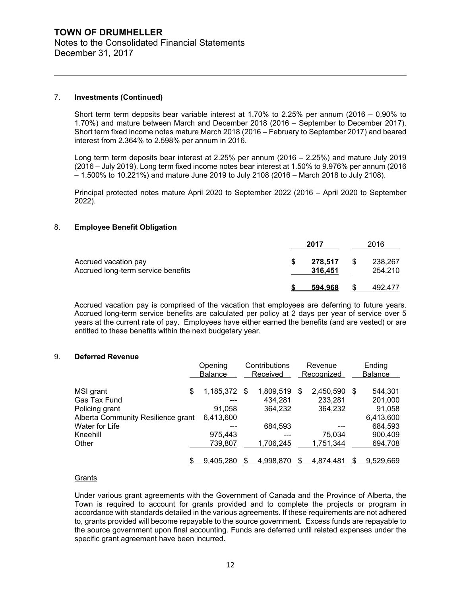## 7. **Investments (Continued)**

Short term term deposits bear variable interest at 1.70% to 2.25% per annum (2016 – 0.90% to 1.70%) and mature between March and December 2018 (2016 – September to December 2017). Short term fixed income notes mature March 2018 (2016 – February to September 2017) and beared interest from 2.364% to 2.598% per annum in 2016.

Long term term deposits bear interest at 2.25% per annum (2016 – 2.25%) and mature July 2019 (2016 – July 2019). Long term fixed income notes bear interest at 1.50% to 9.976% per annum (2016 – 1.500% to 10.221%) and mature June 2019 to July 2108 (2016 – March 2018 to July 2108).

Principal protected notes mature April 2020 to September 2022 (2016 – April 2020 to September 2022).

#### 8. **Employee Benefit Obligation**

|                                                            | 2017 |                    |     | 2016               |  |  |
|------------------------------------------------------------|------|--------------------|-----|--------------------|--|--|
| Accrued vacation pay<br>Accrued long-term service benefits |      | 278,517<br>316,451 | \$. | 238,267<br>254,210 |  |  |
|                                                            |      | 594.968            |     | 492.477            |  |  |

Accrued vacation pay is comprised of the vacation that employees are deferring to future years. Accrued long-term service benefits are calculated per policy at 2 days per year of service over 5 years at the current rate of pay. Employees have either earned the benefits (and are vested) or are entitled to these benefits within the next budgetary year.

## 9. **Deferred Revenue**

|                                    | Opening            | Contributions |            | Revenue   |     | Ending         |
|------------------------------------|--------------------|---------------|------------|-----------|-----|----------------|
|                                    | <b>Balance</b>     | Received      | Recognized |           |     | <b>Balance</b> |
|                                    |                    |               |            |           |     |                |
| MSI grant                          | \$<br>1,185,372 \$ | 1,809,519     | S          | 2,450,590 | \$. | 544,301        |
| Gas Tax Fund                       | ---                | 434.281       |            | 233,281   |     | 201,000        |
| Policing grant                     | 91,058             | 364.232       |            | 364,232   |     | 91,058         |
| Alberta Community Resilience grant | 6,413,600          |               |            |           |     | 6,413,600      |
| Water for Life                     |                    | 684,593       |            | ---       |     | 684,593        |
| Kneehill                           | 975,443            | ---           |            | 75,034    |     | 900,409        |
| Other                              | 739,807            | 1,706,245     |            | 1,751,344 |     | 694,708        |
|                                    |                    |               |            |           |     |                |
|                                    | 9.405.280          | 4.998.870     |            | 4.874.481 |     | 9,529,669      |

#### Grants

Under various grant agreements with the Government of Canada and the Province of Alberta, the Town is required to account for grants provided and to complete the projects or program in accordance with standards detailed in the various agreements. If these requirements are not adhered to, grants provided will become repayable to the source government. Excess funds are repayable to the source government upon final accounting. Funds are deferred until related expenses under the specific grant agreement have been incurred.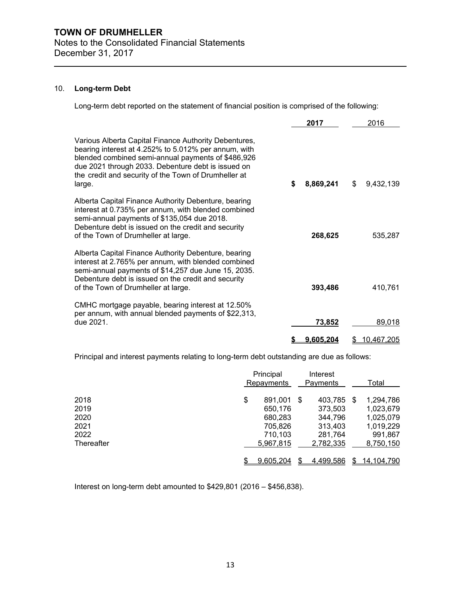## 10. **Long-term Debt**

Long-term debt reported on the statement of financial position is comprised of the following:

|                                                                                                                                                                                                                                                                                             | 2017            | 2016             |
|---------------------------------------------------------------------------------------------------------------------------------------------------------------------------------------------------------------------------------------------------------------------------------------------|-----------------|------------------|
| Various Alberta Capital Finance Authority Debentures,<br>bearing interest at 4.252% to 5.012% per annum, with<br>blended combined semi-annual payments of \$486,926<br>due 2021 through 2033. Debenture debt is issued on<br>the credit and security of the Town of Drumheller at<br>large. | \$<br>8,869,241 | \$<br>9,432,139  |
| Alberta Capital Finance Authority Debenture, bearing<br>interest at 0.735% per annum, with blended combined<br>semi-annual payments of \$135,054 due 2018.<br>Debenture debt is issued on the credit and security<br>of the Town of Drumheller at large.                                    | 268,625         | 535,287          |
| Alberta Capital Finance Authority Debenture, bearing<br>interest at 2.765% per annum, with blended combined<br>semi-annual payments of \$14,257 due June 15, 2035.<br>Debenture debt is issued on the credit and security<br>of the Town of Drumheller at large.                            | 393,486         | 410,761          |
| CMHC mortgage payable, bearing interest at 12.50%<br>per annum, with annual blended payments of \$22,313,<br>due 2021.                                                                                                                                                                      | 73,852          | 89,018           |
|                                                                                                                                                                                                                                                                                             | 9,605,204       | \$<br>10,467,205 |

Principal and interest payments relating to long-term debt outstanding are due as follows:

|            | Principal<br>Repayments | Interest<br>Payments | Total            |
|------------|-------------------------|----------------------|------------------|
| 2018       | \$<br>891.001           | 403,785<br>\$        | 1,294,786<br>\$. |
| 2019       | 650,176                 | 373,503              | 1,023,679        |
| 2020       | 680,283                 | 344,796              | 1,025,079        |
| 2021       | 705,826                 | 313,403              | 1,019,229        |
| 2022       | 710,103                 | 281,764              | 991,867          |
| Thereafter | 5.967.815               | 2,782,335            | 8,750,150        |
|            |                         |                      |                  |
|            | 9.605.204               | <u>4,499,586</u>     | 14.104.790       |

Interest on long-term debt amounted to \$429,801 (2016 – \$456,838).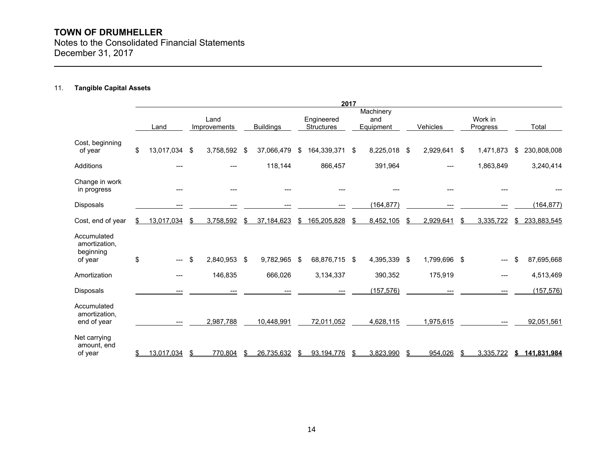Notes to the Consolidated Financial Statements December 31, 2017

## 11. **Tangible Capital Assets**

|                                                      |                        |                      |                  |      |                                 | 2017 |                               |              |                     |    |             |
|------------------------------------------------------|------------------------|----------------------|------------------|------|---------------------------------|------|-------------------------------|--------------|---------------------|----|-------------|
|                                                      | Land                   | Land<br>Improvements | <b>Buildings</b> |      | Engineered<br><b>Structures</b> |      | Machinery<br>and<br>Equipment | Vehicles     | Work in<br>Progress |    | Total       |
| Cost, beginning<br>of year                           | \$<br>13,017,034 \$    | 3,758,592 \$         | 37,066,479       | \$   | 164,339,371                     | \$   | 8,225,018 \$                  | 2,929,641 \$ | 1,471,873           |    | 230,808,008 |
| Additions                                            |                        |                      | 118,144          |      | 866,457                         |      | 391,964                       |              | 1,863,849           |    | 3,240,414   |
| Change in work<br>in progress                        |                        |                      |                  |      |                                 |      |                               |              |                     |    |             |
| Disposals                                            |                        |                      |                  |      |                                 |      | (164, 877)                    |              |                     |    | (164, 877)  |
| Cost, end of year                                    | \$<br>13,017,034       | \$<br>3,758,592      | \$<br>37,184,623 | \$   | 165,205,828                     | \$.  | 8,452,105                     | 2,929,641    | 3,335,722           | S. | 233,883,545 |
| Accumulated<br>amortization.<br>beginning<br>of year | \$<br>$---$            | \$<br>2,840,953 \$   | 9,782,965        | - \$ | 68,876,715 \$                   |      | 4,395,339 \$                  | 1,799,696 \$ |                     |    | 87,695,668  |
| Amortization                                         | ---                    | 146,835              | 666,026          |      | 3,134,337                       |      | 390,352                       | 175,919      | ---                 |    | 4,513,469   |
| <b>Disposals</b>                                     | ---                    | ---                  |                  |      |                                 |      | (157, 576)                    |              |                     |    | (157, 576)  |
| Accumulated<br>amortization.<br>end of year          | $\qquad \qquad \cdots$ | 2,987,788            | 10,448,991       |      | 72,011,052                      |      | 4,628,115                     | 1,975,615    |                     |    | 92,051,561  |
| Net carrying<br>amount, end<br>of year               | 13,017,034             | \$<br>770,804        | 26,735,632       |      | 93,194,776                      |      | 3,823,990                     | 954,026      | 3,335,722           | S. | 141,831,984 |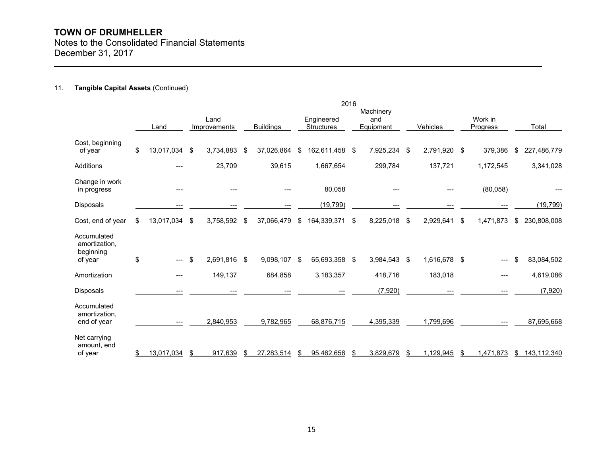Notes to the Consolidated Financial Statements December 31, 2017

## 11. **Tangible Capital Assets** (Continued)

|                                                      |      |                        |                             |              |                  |    |                                 | 2016                                 |              |          |              |                            |           |    |             |
|------------------------------------------------------|------|------------------------|-----------------------------|--------------|------------------|----|---------------------------------|--------------------------------------|--------------|----------|--------------|----------------------------|-----------|----|-------------|
|                                                      | Land |                        | Land<br><b>Improvements</b> |              | <b>Buildings</b> |    | Engineered<br><b>Structures</b> | Machinery<br>and<br><b>Equipment</b> |              | Vehicles |              | Work in<br><b>Progress</b> |           |    | Total       |
| Cost, beginning<br>of year                           | \$   | 13,017,034 \$          |                             | 3,734,883    | \$<br>37,026,864 | \$ | 162,611,458 \$                  |                                      | 7,925,234 \$ |          | 2,791,920 \$ |                            | 379,386   | £. | 227,486,779 |
| <b>Additions</b>                                     |      |                        |                             | 23,709       | 39,615           |    | 1,667,654                       |                                      | 299,784      |          | 137,721      |                            | 1,172,545 |    | 3,341,028   |
| Change in work<br>in progress                        |      | ---                    |                             | ---          |                  |    | 80,058                          |                                      |              |          |              |                            | (80,058)  |    |             |
| Disposals                                            |      |                        |                             |              |                  |    | (19, 799)                       |                                      |              |          |              |                            |           |    | (19, 799)   |
| Cost, end of year                                    | \$   | 13,017,034             | \$                          | 3,758,592    | \$<br>37,066,479 | S  | 164,339,371                     |                                      | 8,225,018    |          | 2,929,641    |                            | 1,471,873 | \$ | 230,808,008 |
| Accumulated<br>amortization,<br>beginning<br>of year | \$   | $\qquad \qquad - -$    | \$                          | 2,691,816 \$ | 9,098,107        | \$ | 65,693,358 \$                   |                                      | 3,984,543 \$ |          | 1,616,678 \$ |                            |           |    | 83,084,502  |
| Amortization                                         |      | ---                    |                             | 149,137      | 684,858          |    | 3,183,357                       |                                      | 418,716      |          | 183,018      |                            | ---       |    | 4,619,086   |
| <b>Disposals</b>                                     |      |                        |                             |              |                  |    |                                 |                                      | (7,920)      |          |              |                            |           |    | (7,920)     |
| Accumulated<br>amortization,<br>end of year          |      | $\qquad \qquad \cdots$ |                             | 2,840,953    | 9,782,965        |    | 68,876,715                      |                                      | 4,395,339    |          | 1,799,696    |                            |           |    | 87,695,668  |
| Net carrying<br>amount, end<br>of year               |      | 13,017,034             | \$                          | 917,639      | 27,283,514       |    | 95,462,656                      | \$                                   | 3,829,679    | S        | 1,129,945    |                            | ,471,873  | \$ | 143,112,340 |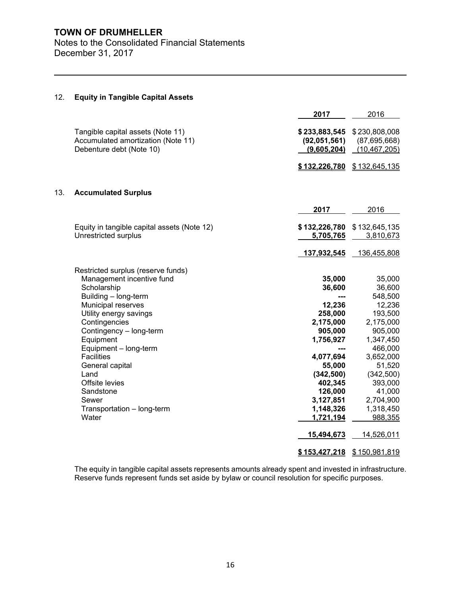Notes to the Consolidated Financial Statements December 31, 2017

|     |                                                                                                                                                                                                                                                                                                                                                                         | 2017                                                                                                                                                                                       | 2016                                                                                                                                                                                                         |
|-----|-------------------------------------------------------------------------------------------------------------------------------------------------------------------------------------------------------------------------------------------------------------------------------------------------------------------------------------------------------------------------|--------------------------------------------------------------------------------------------------------------------------------------------------------------------------------------------|--------------------------------------------------------------------------------------------------------------------------------------------------------------------------------------------------------------|
|     | Tangible capital assets (Note 11)<br>Accumulated amortization (Note 11)<br>Debenture debt (Note 10)                                                                                                                                                                                                                                                                     | \$233,883,545<br>(92,051,561)<br>(9,605,204)                                                                                                                                               | \$230,808,008<br>(87,695,668)<br>(10, 467, 205)                                                                                                                                                              |
|     |                                                                                                                                                                                                                                                                                                                                                                         | \$132,226,780                                                                                                                                                                              | \$132,645,135                                                                                                                                                                                                |
| 13. | <b>Accumulated Surplus</b>                                                                                                                                                                                                                                                                                                                                              |                                                                                                                                                                                            |                                                                                                                                                                                                              |
|     |                                                                                                                                                                                                                                                                                                                                                                         | 2017                                                                                                                                                                                       | 2016                                                                                                                                                                                                         |
|     | Equity in tangible capital assets (Note 12)<br>Unrestricted surplus                                                                                                                                                                                                                                                                                                     | \$132,226,780<br>5,705,765                                                                                                                                                                 | \$132,645,135<br>3,810,673                                                                                                                                                                                   |
|     |                                                                                                                                                                                                                                                                                                                                                                         | 137,932,545                                                                                                                                                                                | 136,455,808                                                                                                                                                                                                  |
|     | Restricted surplus (reserve funds)<br>Management incentive fund<br>Scholarship<br>Building - long-term<br>Municipal reserves<br>Utility energy savings<br>Contingencies<br>Contingency - long-term<br>Equipment<br>Equipment - long-term<br><b>Facilities</b><br>General capital<br>Land<br>Offsite levies<br>Sandstone<br>Sewer<br>Transportation - long-term<br>Water | 35,000<br>36,600<br>12,236<br>258,000<br>2,175,000<br>905,000<br>1,756,927<br>4,077,694<br>55,000<br>(342, 500)<br>402,345<br>126,000<br>3,127,851<br>1,148,326<br>1,721,194<br>15,494,673 | 35,000<br>36,600<br>548,500<br>12,236<br>193,500<br>2,175,000<br>905,000<br>1,347,450<br>466,000<br>3,652,000<br>51,520<br>(342,500)<br>393,000<br>41,000<br>2,704,900<br>1,318,450<br>988,355<br>14,526,011 |
|     |                                                                                                                                                                                                                                                                                                                                                                         | \$153,427,218                                                                                                                                                                              | \$150,981,819                                                                                                                                                                                                |

## 12. **Equity in Tangible Capital Assets**

The equity in tangible capital assets represents amounts already spent and invested in infrastructure. Reserve funds represent funds set aside by bylaw or council resolution for specific purposes.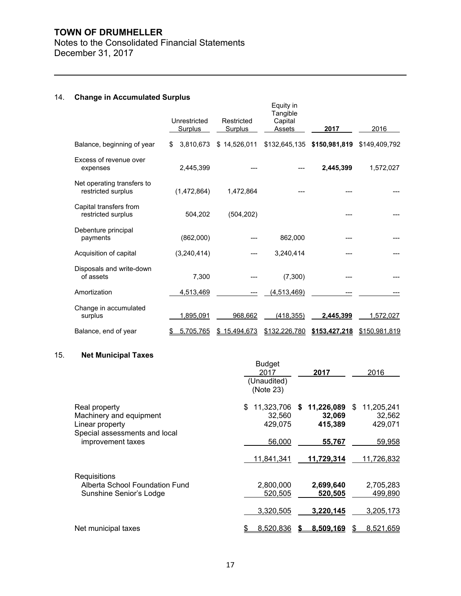## Notes to the Consolidated Financial Statements December 31, 2017

## 14. **Change in Accumulated Surplus**

|                                                  | Unrestricted<br><b>Surplus</b> | Restricted<br><b>Surplus</b> | Equity in<br>Tangible<br>Capital<br>Assets | 2017                        | 2016          |
|--------------------------------------------------|--------------------------------|------------------------------|--------------------------------------------|-----------------------------|---------------|
| Balance, beginning of year                       | \$<br>3,810,673                | \$14,526,011                 |                                            | \$132,645,135 \$150,981,819 | \$149,409,792 |
| Excess of revenue over<br>expenses               | 2,445,399                      |                              |                                            | 2,445,399                   | 1,572,027     |
| Net operating transfers to<br>restricted surplus | (1,472,864)                    | 1,472,864                    |                                            |                             |               |
| Capital transfers from<br>restricted surplus     | 504,202                        | (504, 202)                   |                                            |                             |               |
| Debenture principal<br>payments                  | (862,000)                      |                              | 862,000                                    |                             |               |
| Acquisition of capital                           | (3,240,414)                    |                              | 3,240,414                                  |                             |               |
| Disposals and write-down<br>of assets            | 7,300                          |                              | (7,300)                                    |                             |               |
| Amortization                                     | 4,513,469                      |                              | (4,513,469)                                |                             |               |
| Change in accumulated<br>surplus                 | 1,895,091                      | 968,662                      | (418,355)                                  | 2,445,399                   | 1,572,027     |
| Balance, end of year                             | 5,705,765                      | \$15,494,673                 | \$132,226,780                              | \$153,427,218               | \$150,981,819 |

## 15. **Net Municipal Taxes**

|                                                | <b>Budget</b><br>2017<br>(Unaudited)<br>(Note 23) | 2017             | 2016       |
|------------------------------------------------|---------------------------------------------------|------------------|------------|
| Real property                                  | 11,323,706                                        | 11,226,089       | 11,205,241 |
| Machinery and equipment                        | S                                                 | S.               | \$.        |
| Linear property                                | 32,560                                            | 32,069           | 32,562     |
| Special assessments and local                  | 429,075                                           | 415,389          | 429,071    |
| improvement taxes                              | 56,000                                            | 55,767           | 59,958     |
|                                                | 11,841,341                                        | 11,729,314       | 11,726,832 |
| Requisitions<br>Alberta School Foundation Fund | 2,800,000                                         | 2,699,640        | 2,705,283  |
| Sunshine Senior's Lodge                        | 520,505                                           | 520,505          | 499,890    |
|                                                | 3,320,505                                         | 3,220,145        | 3,205,173  |
| Net municipal taxes                            | 8,520,836                                         | <u>8.509.169</u> | 8,521,659  |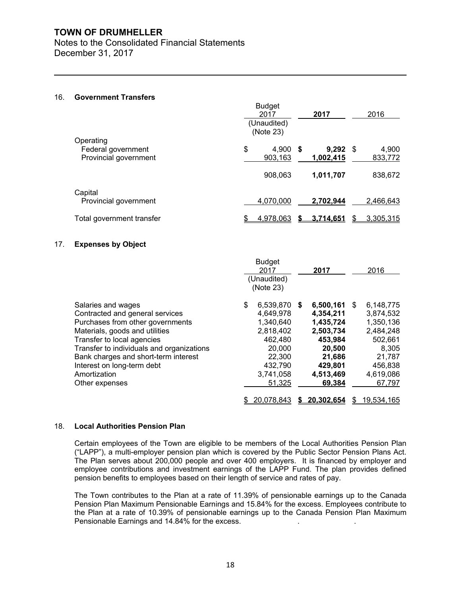Notes to the Consolidated Financial Statements December 31, 2017

## 16. **Government Transfers**

|                                                          | <b>Budget</b><br>2017<br>(Unaudited)<br>(Note 23) | 2017               |      | 2016             |
|----------------------------------------------------------|---------------------------------------------------|--------------------|------|------------------|
| Operating<br>Federal government<br>Provincial government | \$<br>4,900 \$<br>903,163                         | 9,292<br>1,002,415 | - \$ | 4,900<br>833,772 |
|                                                          | 908,063                                           | 1,011,707          |      | 838,672          |
| Capital<br>Provincial government                         | 4,070,000                                         | 2,702,944          |      | 2,466,643        |
| Total government transfer                                | 4,978,063                                         | 3.714.651          | S    | 3,305,315        |

## 17. **Expenses by Object**

|                                                                                                                                                                                                                                                                                              | <b>Budget</b><br>2017<br>(Unaudited)<br>(Note 23)                                                                          | 2017                                                                                                              | 2016                                                                                                                  |
|----------------------------------------------------------------------------------------------------------------------------------------------------------------------------------------------------------------------------------------------------------------------------------------------|----------------------------------------------------------------------------------------------------------------------------|-------------------------------------------------------------------------------------------------------------------|-----------------------------------------------------------------------------------------------------------------------|
| Salaries and wages<br>Contracted and general services<br>Purchases from other governments<br>Materials, goods and utilities<br>Transfer to local agencies<br>Transfer to individuals and organizations<br>Bank charges and short-term interest<br>Interest on long-term debt<br>Amortization | 6,539,870 \$<br>\$<br>4,649,978<br>1,340,640<br>2,818,402<br>462,480<br>20,000<br>22,300<br>432,790<br>3,741,058<br>51,325 | 6,500,161<br>4,354,211<br>1,435,724<br>2,503,734<br>453,984<br>20,500<br>21,686<br>429,801<br>4,513,469<br>69,384 | 6,148,775<br>S<br>3,874,532<br>1,350,136<br>2,484,248<br>502,661<br>8,305<br>21,787<br>456,838<br>4,619,086<br>67,797 |
| Other expenses                                                                                                                                                                                                                                                                               | 20,078,843                                                                                                                 | \$20.302.654                                                                                                      | 19,534,165<br>\$                                                                                                      |

## 18. **Local Authorities Pension Plan**

Certain employees of the Town are eligible to be members of the Local Authorities Pension Plan ("LAPP"), a multi-employer pension plan which is covered by the Public Sector Pension Plans Act. The Plan serves about 200,000 people and over 400 employers. It is financed by employer and employee contributions and investment earnings of the LAPP Fund. The plan provides defined pension benefits to employees based on their length of service and rates of pay.

The Town contributes to the Plan at a rate of 11.39% of pensionable earnings up to the Canada Pension Plan Maximum Pensionable Earnings and 15.84% for the excess. Employees contribute to the Plan at a rate of 10.39% of pensionable earnings up to the Canada Pension Plan Maximum Pensionable Earnings and 14.84% for the excess.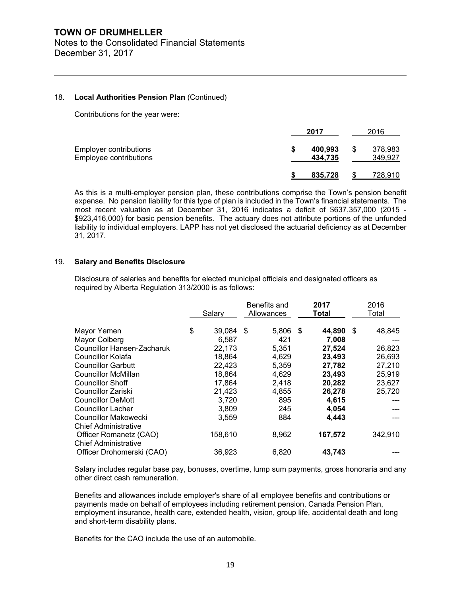Notes to the Consolidated Financial Statements December 31, 2017

## 18. **Local Authorities Pension Plan** (Continued)

Contributions for the year were:

|                                                  |   | 2017               |   | 2016               |
|--------------------------------------------------|---|--------------------|---|--------------------|
| Employer contributions<br>Employee contributions | S | 400.993<br>434.735 | S | 378,983<br>349,927 |
|                                                  |   | <u>835.728</u>     |   | 728.910            |

As this is a multi-employer pension plan, these contributions comprise the Town's pension benefit expense. No pension liability for this type of plan is included in the Town's financial statements. The most recent valuation as at December 31, 2016 indicates a deficit of \$637,357,000 (2015 - \$923,416,000) for basic pension benefits. The actuary does not attribute portions of the unfunded liability to individual employers. LAPP has not yet disclosed the actuarial deficiency as at December 31, 2017.

## 19. **Salary and Benefits Disclosure**

Disclosure of salaries and benefits for elected municipal officials and designated officers as required by Alberta Regulation 313/2000 is as follows:

|                                                       | Salary       | Benefits and<br>Allowances | 2017<br>Total  | 2016<br>Total |
|-------------------------------------------------------|--------------|----------------------------|----------------|---------------|
| Mayor Yemen                                           | \$<br>39,084 | 5,806<br>\$.               | 44,890<br>- \$ | 48,845<br>S   |
| Mayor Colberg                                         | 6,587        | 421                        | 7,008          |               |
| <b>Councillor Hansen-Zacharuk</b>                     | 22,173       | 5,351                      | 27,524         | 26,823        |
| Councillor Kolafa                                     | 18,864       | 4,629                      | 23,493         | 26,693        |
| <b>Councillor Garbutt</b>                             | 22,423       | 5,359                      | 27,782         | 27,210        |
| Councillor McMillan                                   | 18,864       | 4,629                      | 23,493         | 25,919        |
| <b>Councillor Shoff</b>                               | 17,864       | 2,418                      | 20,282         | 23,627        |
| Councillor Zariski                                    | 21,423       | 4,855                      | 26,278         | 25,720        |
| Councillor DeMott                                     | 3,720        | 895                        | 4,615          |               |
| <b>Councillor Lacher</b>                              | 3,809        | 245                        | 4,054          |               |
| Councillor Makowecki<br><b>Chief Administrative</b>   | 3,559        | 884                        | 4,443          |               |
| Officer Romanetz (CAO)<br><b>Chief Administrative</b> | 158,610      | 8,962                      | 167,572        | 342,910       |
| Officer Drohomerski (CAO)                             | 36,923       | 6,820                      | 43,743         |               |

Salary includes regular base pay, bonuses, overtime, lump sum payments, gross honoraria and any other direct cash remuneration.

Benefits and allowances include employer's share of all employee benefits and contributions or payments made on behalf of employees including retirement pension, Canada Pension Plan, employment insurance, health care, extended health, vision, group life, accidental death and long and short-term disability plans.

Benefits for the CAO include the use of an automobile.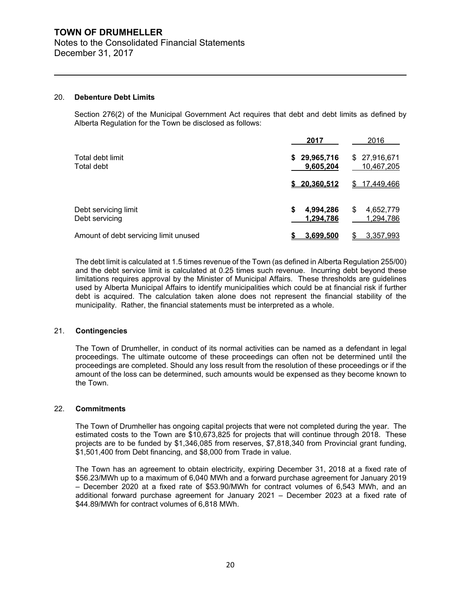Notes to the Consolidated Financial Statements December 31, 2017

## 20. **Debenture Debt Limits**

Section 276(2) of the Municipal Government Act requires that debt and debt limits as defined by Alberta Regulation for the Town be disclosed as follows:

|                                        | 2017                          | 2016                         |  |
|----------------------------------------|-------------------------------|------------------------------|--|
| Total debt limit<br>Total debt         | 29,965,716<br>S.<br>9,605,204 | \$27,916,671<br>10,467,205   |  |
|                                        | \$20.360.512                  | <u>17,449,466</u>            |  |
| Debt servicing limit<br>Debt servicing | S<br>4,994,286<br>1.294.786   | \$<br>4,652,779<br>1.294.786 |  |
| Amount of debt servicing limit unused  | 3.699.500                     | <u>3,357,993</u>             |  |

The debt limit is calculated at 1.5 times revenue of the Town (as defined in Alberta Regulation 255/00) and the debt service limit is calculated at 0.25 times such revenue. Incurring debt beyond these limitations requires approval by the Minister of Municipal Affairs. These thresholds are guidelines used by Alberta Municipal Affairs to identify municipalities which could be at financial risk if further debt is acquired. The calculation taken alone does not represent the financial stability of the municipality. Rather, the financial statements must be interpreted as a whole.

## 21. **Contingencies**

The Town of Drumheller, in conduct of its normal activities can be named as a defendant in legal proceedings. The ultimate outcome of these proceedings can often not be determined until the proceedings are completed. Should any loss result from the resolution of these proceedings or if the amount of the loss can be determined, such amounts would be expensed as they become known to the Town.

## 22. **Commitments**

The Town of Drumheller has ongoing capital projects that were not completed during the year. The estimated costs to the Town are \$10,673,825 for projects that will continue through 2018. These projects are to be funded by \$1,346,085 from reserves, \$7,818,340 from Provincial grant funding, \$1,501,400 from Debt financing, and \$8,000 from Trade in value.

The Town has an agreement to obtain electricity, expiring December 31, 2018 at a fixed rate of \$56.23/MWh up to a maximum of 6,040 MWh and a forward purchase agreement for January 2019 – December 2020 at a fixed rate of \$53.90/MWh for contract volumes of 6,543 MWh, and an additional forward purchase agreement for January 2021 – December 2023 at a fixed rate of \$44.89/MWh for contract volumes of 6,818 MWh.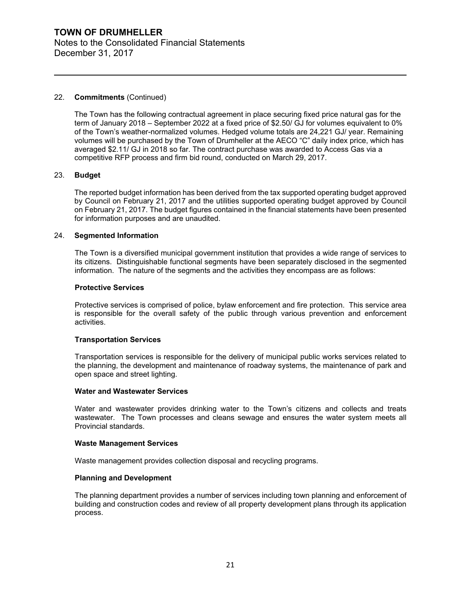## **TOWN OF DRUMHELLER** Notes to the Consolidated Financial Statements December 31, 2017

## 22. **Commitments** (Continued)

The Town has the following contractual agreement in place securing fixed price natural gas for the term of January 2018 – September 2022 at a fixed price of \$2.50/ GJ for volumes equivalent to 0% of the Town's weather-normalized volumes. Hedged volume totals are 24,221 GJ/ year. Remaining volumes will be purchased by the Town of Drumheller at the AECO "C" daily index price, which has averaged \$2.11/ GJ in 2018 so far. The contract purchase was awarded to Access Gas via a competitive RFP process and firm bid round, conducted on March 29, 2017.

## 23. **Budget**

The reported budget information has been derived from the tax supported operating budget approved by Council on February 21, 2017 and the utilities supported operating budget approved by Council on February 21, 2017. The budget figures contained in the financial statements have been presented for information purposes and are unaudited.

## 24. **Segmented Information**

The Town is a diversified municipal government institution that provides a wide range of services to its citizens. Distinguishable functional segments have been separately disclosed in the segmented information. The nature of the segments and the activities they encompass are as follows:

## **Protective Services**

Protective services is comprised of police, bylaw enforcement and fire protection. This service area is responsible for the overall safety of the public through various prevention and enforcement activities.

## **Transportation Services**

Transportation services is responsible for the delivery of municipal public works services related to the planning, the development and maintenance of roadway systems, the maintenance of park and open space and street lighting.

## **Water and Wastewater Services**

Water and wastewater provides drinking water to the Town's citizens and collects and treats wastewater. The Town processes and cleans sewage and ensures the water system meets all Provincial standards.

## **Waste Management Services**

Waste management provides collection disposal and recycling programs.

## **Planning and Development**

The planning department provides a number of services including town planning and enforcement of building and construction codes and review of all property development plans through its application process.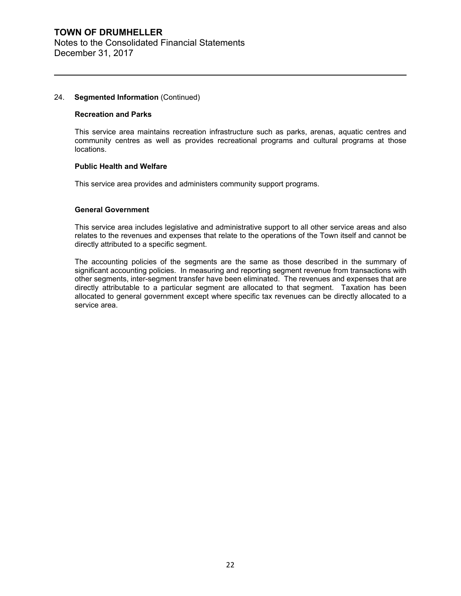## **TOWN OF DRUMHELLER** Notes to the Consolidated Financial Statements December 31, 2017

## 24. **Segmented Information** (Continued)

## **Recreation and Parks**

This service area maintains recreation infrastructure such as parks, arenas, aquatic centres and community centres as well as provides recreational programs and cultural programs at those locations.

## **Public Health and Welfare**

This service area provides and administers community support programs.

## **General Government**

This service area includes legislative and administrative support to all other service areas and also relates to the revenues and expenses that relate to the operations of the Town itself and cannot be directly attributed to a specific segment.

The accounting policies of the segments are the same as those described in the summary of significant accounting policies. In measuring and reporting segment revenue from transactions with other segments, inter-segment transfer have been eliminated. The revenues and expenses that are directly attributable to a particular segment are allocated to that segment. Taxation has been allocated to general government except where specific tax revenues can be directly allocated to a service area.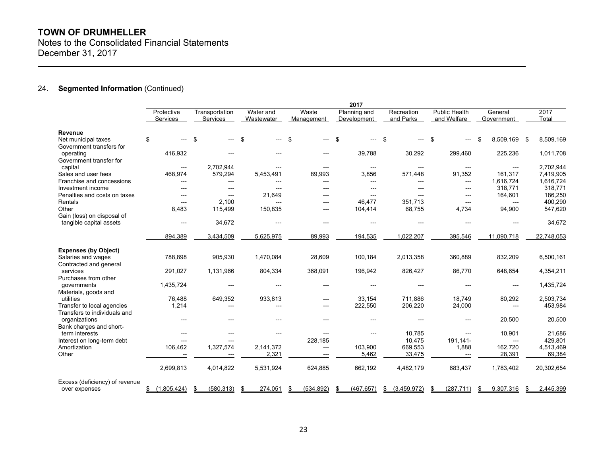Notes to the Consolidated Financial Statements December 31, 2017

## 24. **Segmented Information** (Continued)

|                                                       | 2017          |                   |               |                        |                                     |                |                      |                |                 |
|-------------------------------------------------------|---------------|-------------------|---------------|------------------------|-------------------------------------|----------------|----------------------|----------------|-----------------|
|                                                       | Protective    | Transportation    | Water and     | Waste                  | Planning and                        | Recreation     | <b>Public Health</b> | General        | 2017            |
|                                                       | Services      | Services          | Wastewater    | Management             | Development                         | and Parks      | and Welfare          | Government     | Total           |
| Revenue                                               |               |                   |               |                        |                                     |                |                      |                |                 |
| Net municipal taxes                                   | \$<br>---     | \$<br>---         | \$            | \$<br>---              | -\$<br>$---$                        | \$<br>$---$    | \$                   | 8,509,169 \$   | 8,509,169       |
| Government transfers for<br>operating                 | 416,932       | ---               |               | ---                    | 39,788                              | 30,292         | 299,460              | 225,236        | 1,011,708       |
| Government transfer for                               |               |                   |               |                        |                                     |                |                      |                |                 |
| capital                                               | ---           | 2,702,944         | $---$         | $\qquad \qquad \cdots$ | $\hspace{0.05cm}---\hspace{0.05cm}$ | $---$          | ---                  | $---$          | 2,702,944       |
| Sales and user fees                                   | 468,974       | 579,294           | 5,453,491     | 89,993                 | 3,856                               | 571,448        | 91,352               | 161,317        | 7,419,905       |
| Franchise and concessions                             | ---           | ---               | ---           | ---                    | $---$                               | ---            | ---                  | 1,616,724      | 1,616,724       |
| Investment income                                     | $---$         | $---$             | ---           | ---                    | $---$                               | $---$          | ---                  | 318,771        | 318,771         |
| Penalties and costs on taxes                          | $---$         | $\overline{a}$    | 21,649        | ---                    | $---$                               |                | ---                  | 164,601        | 186,250         |
| Rentals                                               | $---$         | 2,100             | $---$         | ---                    | 46,477                              | 351,713        | ---                  | $---$          | 400,290         |
| Other                                                 | 8,483         | 115,499           | 150,835       | ---                    | 104,414                             | 68,755         | 4,734                | 94,900         | 547,620         |
| Gain (loss) on disposal of<br>tangible capital assets |               | 34,672            |               |                        |                                     |                |                      |                | 34,672          |
|                                                       | ---           |                   |               | ---                    |                                     |                |                      |                |                 |
|                                                       | 894,389       | 3,434,509         | 5,625,975     | 89,993                 | 194,535                             | 1,022,207      | 395,546              | 11,090,718     | 22,748,053      |
| <b>Expenses (by Object)</b>                           |               |                   |               |                        |                                     |                |                      |                |                 |
| Salaries and wages                                    | 788,898       | 905,930           | 1,470,084     | 28,609                 | 100,184                             | 2,013,358      | 360,889              | 832,209        | 6,500,161       |
| Contracted and general                                |               |                   |               |                        |                                     |                |                      |                |                 |
| services                                              | 291,027       | 1,131,966         | 804,334       | 368,091                | 196,942                             | 826,427        | 86,770               | 648,654        | 4,354,211       |
| Purchases from other                                  |               |                   |               |                        |                                     |                |                      |                |                 |
| governments<br>Materials, goods and                   | 1,435,724     | ---               | ---           | ---                    | $---$                               |                | $---$                | $---$          | 1,435,724       |
| utilities                                             | 76,488        | 649,352           | 933,813       | ---                    | 33,154                              | 711,886        | 18,749               | 80,292         | 2,503,734       |
| Transfer to local agencies                            | 1,214         | ---               | ---           | ---                    | 222,550                             | 206,220        | 24,000               | ---            | 453,984         |
| Transfers to individuals and                          |               |                   |               |                        |                                     |                |                      |                |                 |
| organizations                                         | ---           | $---$             | ---           | ---                    | $---$                               |                | ---                  | 20,500         | 20,500          |
| Bank charges and short-                               |               |                   |               |                        |                                     |                |                      |                |                 |
| term interests                                        | $---$         | ---               | $---$         | $---$                  | $---$                               | 10,785         | $---$                | 10,901         | 21,686          |
| Interest on long-term debt                            | ---           | ---               |               | 228,185                |                                     | 10,475         | 191,141-             | $\overline{a}$ | 429,801         |
| Amortization                                          | 106,462       | 1,327,574         | 2,141,372     | ---                    | 103,900                             | 669,553        | 1,888                | 162,720        | 4,513,469       |
| Other                                                 |               |                   | 2,321         | $---$                  | 5,462                               | 33,475         | ---                  | 28,391         | 69,384          |
|                                                       | 2,699,813     | 4,014,822         | 5,531,924     | 624.885                | 662,192                             | 4,482,179      | 683,437              | 1.783.402      | 20.302.654      |
| Excess (deficiency) of revenue                        |               |                   |               |                        |                                     |                |                      |                |                 |
| over expenses                                         | \$(1,805,424) | (580, 313)<br>-\$ | 274,051<br>\$ | (534, 892)<br>\$       | (467, 657)<br>£.                    | \$ (3,459,972) | (287, 711)<br>\$     | 9,307,316      | 2,445,399<br>\$ |
|                                                       |               |                   |               |                        |                                     |                |                      |                |                 |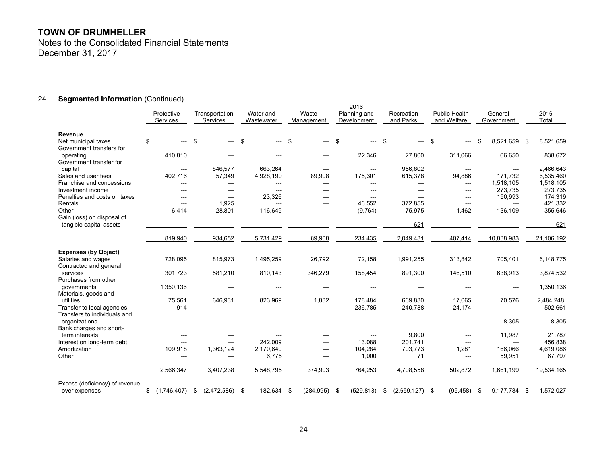Notes to the Consolidated Financial Statements December 31, 2017

## 24. **Segmented Information** (Continued)

|                                                 |                |                   |            |                 | 2016           |                |                      |                 |                 |
|-------------------------------------------------|----------------|-------------------|------------|-----------------|----------------|----------------|----------------------|-----------------|-----------------|
|                                                 | Protective     | Transportation    | Water and  | Waste           | Planning and   | Recreation     | <b>Public Health</b> | General         | 2016            |
|                                                 | Services       | Services          | Wastewater | Management      | Development    | and Parks      | and Welfare          | Government      | Total           |
| Revenue                                         |                |                   |            |                 |                |                |                      |                 |                 |
| Net municipal taxes<br>Government transfers for | \$<br>---      | \$<br>---         | \$         | \$<br>---       | \$<br>$---$    | \$             | \$                   | 8.521.659 \$    | 8,521,659       |
| operating<br>Government transfer for            | 410,810        | ---               |            |                 | 22,346         | 27,800         | 311,066              | 66,650          | 838,672         |
| capital                                         | ---            | 846,577           | 663,264    | $---$           | $---$          | 956,802        | ---                  | $---$           | 2,466,643       |
| Sales and user fees                             | 402,716        | 57,349            | 4,928,190  | 89,908          | 175,301        | 615,378        | 94,886               | 171,732         | 6,535,460       |
| Franchise and concessions                       | ---            | ---               | ---        | ---             | $\overline{a}$ | ---            | ---                  | 1,518,105       | 1,518,105       |
| Investment income                               | ---            | ---               |            | ---             | $---$          | ---            | ---                  | 273,735         | 273,735         |
| Penalties and costs on taxes                    | ---            | $---$             | 23,326     |                 | $\overline{a}$ |                | ---                  | 150,993         | 174,319         |
| Rentals                                         | $---$          | 1,925             |            | ---             | 46,552         | 372,855        | ---                  | $---$           | 421,332         |
| Other                                           | 6,414          | 28,801            | 116,649    | $---$           | (9,764)        | 75,975         | 1,462                | 136,109         | 355,646         |
| Gain (loss) on disposal of                      |                |                   |            |                 |                |                |                      |                 |                 |
| tangible capital assets                         | ---            |                   |            |                 |                | 621            |                      |                 | 621             |
|                                                 | 819,940        | 934,652           | 5,731,429  | 89,908          | 234,435        | 2,049,431      | 407,414              | 10,838,983      | 21,106,192      |
| <b>Expenses (by Object)</b>                     |                |                   |            |                 |                |                |                      |                 |                 |
| Salaries and wages                              | 728,095        | 815,973           | 1,495,259  | 26,792          | 72,158         | 1,991,255      | 313,842              | 705,401         | 6,148,775       |
| Contracted and general                          |                |                   |            |                 |                |                |                      |                 |                 |
| services                                        | 301,723        | 581,210           | 810,143    | 346,279         | 158,454        | 891,300        | 146,510              | 638,913         | 3,874,532       |
| Purchases from other                            |                |                   |            |                 |                |                |                      |                 |                 |
| governments                                     | 1,350,136      | ---               |            | $---$           | $---$          |                |                      | $---$           | 1,350,136       |
| Materials, goods and                            |                |                   |            |                 |                |                |                      |                 |                 |
| utilities                                       | 75,561         | 646,931           | 823,969    | 1,832           | 178,484        | 669,830        | 17,065               | 70,576          | 2,484,248       |
| Transfer to local agencies                      | 914            | ---               | ---        | $---$           | 236,785        | 240,788        | 24,174               | ---             | 502,661         |
| Transfers to individuals and                    |                |                   |            |                 |                |                |                      |                 |                 |
| organizations                                   | $\overline{a}$ | ---               |            |                 | $---$          |                | ---                  | 8,305           | 8,305           |
| Bank charges and short-                         |                |                   |            |                 |                |                |                      |                 |                 |
| term interests                                  | ---            | ---               |            | ---             | ---            | 9,800          | ---                  | 11,987          | 21,787          |
| Interest on long-term debt                      | ---            | $---$             | 242.009    | ---             | 13,088         | 201,741        | $---$                | ---             | 456,838         |
| Amortization                                    | 109,918        | 1,363,124         | 2,170,640  | $---$           | 104,284        | 703,773        | 1,281                | 166,066         | 4,619,086       |
| Other                                           | ---            | ---               | 6,775      | $---$           | 1.000          | 71             | $---$                | 59,951          | 67.797          |
|                                                 | 2,566,347      | 3,407,238         | 5,548,795  | 374,903         | 764,253        | 4,708,558      | 502,872              | 1,661,199       | 19,534,165      |
| Excess (deficiency) of revenue                  |                |                   |            |                 |                |                |                      |                 |                 |
| over expenses                                   | \$(1.746.407)  | (2.472.586)<br>S. | 182.634    | (284.995)<br>ß. | (529.818)      | \$ (2.659.127) | (95.458)<br>\$       | 9.177.784<br>S. | 1.572.027<br>\$ |